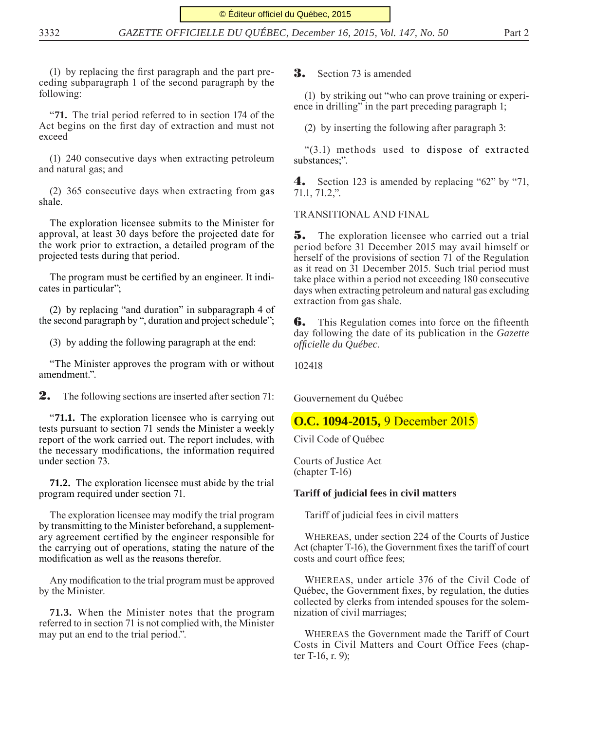$(1)$  by replacing the first paragraph and the part preceding subparagraph 1 of the second paragraph by the following:

"**71.** The trial period referred to in section 174 of the Act begins on the first day of extraction and must not exceed

(1) 240 consecutive days when extracting petroleum and natural gas; and

(2) 365 consecutive days when extracting from gas shale.

The exploration licensee submits to the Minister for approval, at least 30 days before the projected date for the work prior to extraction, a detailed program of the projected tests during that period.

The program must be certified by an engineer. It indicates in particular";

(2) by replacing "and duration" in subparagraph 4 of the second paragraph by ", duration and project schedule";

(3) by adding the following paragraph at the end:

"The Minister approves the program with or without amendment.".

**2.** The following sections are inserted after section 71:

"**71.1.** The exploration licensee who is carrying out tests pursuant to section 71 sends the Minister a weekly report of the work carried out. The report includes, with the necessary modifications, the information required under section 73.

**71.2.** The exploration licensee must abide by the trial program required under section 71.

The exploration licensee may modify the trial program by transmitting to the Minister beforehand, a supplementary agreement certified by the engineer responsible for the carrying out of operations, stating the nature of the modification as well as the reasons therefor.

Any modification to the trial program must be approved by the Minister.

**71.3.** When the Minister notes that the program referred to in section 71 is not complied with, the Minister may put an end to the trial period.".

#### **3.** Section 73 is amended

(1) by striking out "who can prove training or experience in drilling" in the part preceding paragraph 1;

(2) by inserting the following after paragraph 3:

"(3.1) methods used to dispose of extracted substances;".

4. Section 123 is amended by replacing "62" by "71, 71.1, 71.2,".

TRANSITIONAL AND FINAL

**5.** The exploration licensee who carried out a trial period before 31 December 2015 may avail himself or herself of the provisions of section 71 of the Regulation as it read on 31 December 2015. Such trial period must take place within a period not exceeding 180 consecutive days when extracting petroleum and natural gas excluding extraction from gas shale.

**6.** This Regulation comes into force on the fifteenth day following the date of its publication in the *Gazette offi cielle du Québec*.

102418

Gouvernement du Québec

### **O.C. 1094-2015,** 9 December 2015

Civil Code of Québec

Courts of Justice Act (chapter T-16)

#### **Tariff of judicial fees in civil matters**

Tariff of judicial fees in civil matters

WHEREAS, under section 224 of the Courts of Justice Act (chapter T-16), the Government fixes the tariff of court costs and court office fees;

WHEREAS, under article 376 of the Civil Code of Québec, the Government fixes, by regulation, the duties collected by clerks from intended spouses for the solemnization of civil marriages;

WHEREAS the Government made the Tariff of Court Costs in Civil Matters and Court Office Fees (chapter T-16, r. 9);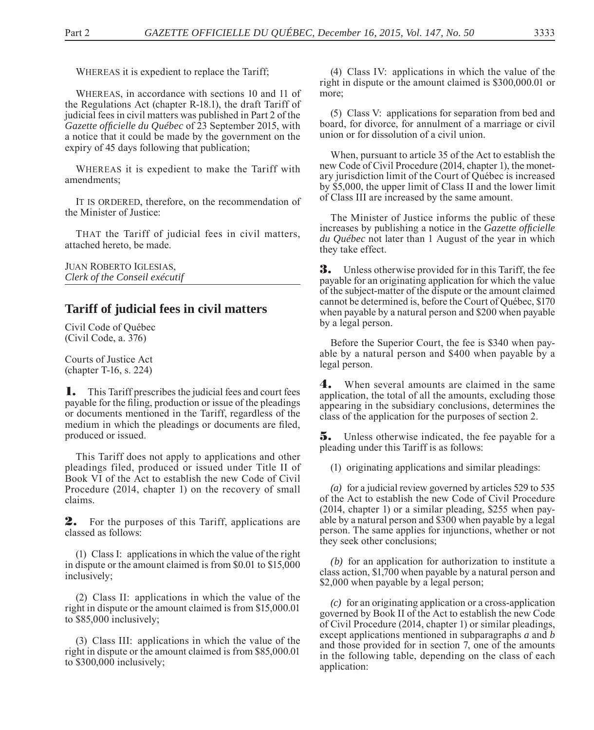WHEREAS it is expedient to replace the Tariff;

WHEREAS, in accordance with sections 10 and 11 of the Regulations Act (chapter R-18.1), the draft Tariff of judicial fees in civil matters was published in Part 2 of the Gazette officielle du Québec of 23 September 2015, with a notice that it could be made by the government on the expiry of 45 days following that publication;

WHEREAS it is expedient to make the Tariff with amendments;

IT IS ORDERED, therefore, on the recommendation of the Minister of Justice:

THAT the Tariff of judicial fees in civil matters, attached hereto, be made.

JUAN ROBERTO IGLESIAS, *Clerk of the Conseil exécutif*

# **Tariff of judicial fees in civil matters**

Civil Code of Québec (Civil Code, a. 376)

Courts of Justice Act (chapter T-16, s. 224)

**1.** This Tariff prescribes the judicial fees and court fees payable for the filing, production or issue of the pleadings or documents mentioned in the Tariff, regardless of the medium in which the pleadings or documents are filed, produced or issued.

This Tariff does not apply to applications and other pleadings filed, produced or issued under Title II of Book VI of the Act to establish the new Code of Civil Procedure (2014, chapter 1) on the recovery of small claims.

**2.** For the purposes of this Tariff, applications are classed as follows:

(1) Class I: applications in which the value of the right in dispute or the amount claimed is from \$0.01 to \$15,000 inclusively;

(2) Class II: applications in which the value of the right in dispute or the amount claimed is from \$15,000.01 to \$85,000 inclusively;

(3) Class III: applications in which the value of the right in dispute or the amount claimed is from \$85,000.01 to \$300,000 inclusively;

(4) Class IV: applications in which the value of the right in dispute or the amount claimed is \$300,000.01 or more;

(5) Class V: applications for separation from bed and board, for divorce, for annulment of a marriage or civil union or for dissolution of a civil union.

When, pur suant to article 35 of the Act to establish the new Code of Civil Procedure (2014, chapter 1), the monetary jurisdiction limit of the Court of Québec is increased by \$5,000, the upper limit of Class II and the lower limit of Class III are increased by the same amount.

The Minister of Justice informs the public of these increases by publishing a notice in the *Gazette officielle du Québec* not later than 1 August of the year in which they take effect.

3. Unless otherwise provided for in this Tariff, the fee payable for an originating application for which the value of the subject-matter of the dispute or the amount claimed cannot be determined is, before the Court of Québec, \$170 when payable by a natural person and \$200 when payable by a legal person.

Before the Superior Court, the fee is \$340 when payable by a natural person and \$400 when payable by a legal person.

**4.** When several amounts are claimed in the same application, the total of all the amounts, excluding those appearing in the subsidiary conclusions, determines the class of the application for the purposes of section 2.

**5.** Unless otherwise indicated, the fee payable for a pleading under this Tariff is as follows:

(1) originating applications and similar pleadings:

*(a)* for a judicial review governed by articles 529 to 535 of the Act to establish the new Code of Civil Procedure (2014, chapter 1) or a similar pleading, \$255 when payable by a natural person and \$300 when payable by a legal person. The same applies for injunctions, whether or not they seek other conclusions;

*(b)* for an application for authorization to institute a class action, \$1,700 when payable by a natural person and \$2,000 when payable by a legal person;

 $(c)$  for an originating application or a cross-application governed by Book II of the Act to establish the new Code of Civil Procedure (2014, chapter 1) or similar pleadings, except applications mentioned in subparagraphs *a* and *b*  and those provided for in section 7, one of the amounts in the following table, depending on the class of each application: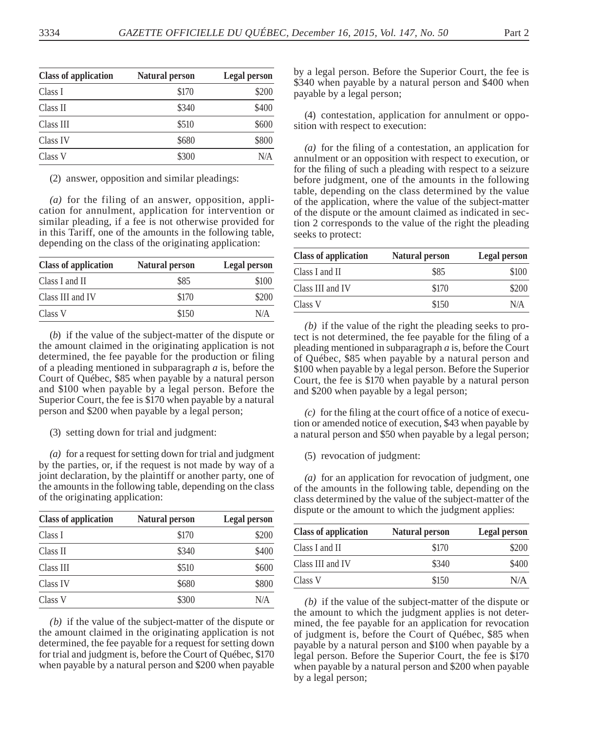| <b>Class of application</b> | <b>Natural person</b> | Legal person |
|-----------------------------|-----------------------|--------------|
| Class I                     | \$170                 | \$200        |
| Class II                    | \$340                 | \$400        |
| Class III                   | \$510                 | \$600        |
| Class IV                    | \$680                 | \$800        |
| Class V                     | \$300                 | N/A          |

(2) answer, opposition and similar pleadings:

*(a)* for the filing of an answer, opposition, application for annulment, application for intervention or similar pleading, if a fee is not otherwise provided for in this Tariff, one of the amounts in the following table, depending on the class of the originating application:

| <b>Class of application</b> | Natural person | Legal person |
|-----------------------------|----------------|--------------|
| Class I and II              | \$85           | \$100        |
| Class III and IV            | \$170          | \$200        |
| Class V                     | \$150          | N/A          |

(*b*) if the value of the subject-matter of the dispute or the amount claimed in the originating application is not determined, the fee payable for the production or filing of a pleading mentioned in subparagraph *a* is, before the Court of Québec, \$85 when payable by a natural person and \$100 when payable by a legal person. Before the Superior Court, the fee is \$170 when payable by a natural person and \$200 when payable by a legal person;

(3) setting down for trial and judgment:

*(a)* for a request for setting down for trial and judgment by the parties, or, if the request is not made by way of a joint declaration, by the plaintiff or another party, one of the amounts in the following table, depending on the class of the originating application:

| <b>Class of application</b> | <b>Natural person</b> | Legal person |
|-----------------------------|-----------------------|--------------|
| Class I                     | \$170                 | \$200        |
| Class II                    | \$340                 | \$400        |
| Class III                   | \$510                 | \$600        |
| Class IV                    | \$680                 | \$800        |
| Class V                     | \$300                 | N/A          |

*(b)* if the value of the subject-matter of the dispute or the amount claimed in the originating application is not determined, the fee payable for a request for setting down for trial and judgment is, before the Court of Québec, \$170 when payable by a natural person and \$200 when payable

by a legal person. Before the Superior Court, the fee is \$340 when payable by a natural person and \$400 when payable by a legal person;

(4) contestation, application for annulment or opposition with respect to execution:

 $(a)$  for the filing of a contestation, an application for annulment or an opposition with respect to execution, or for the filing of such a pleading with respect to a seizure before judgment, one of the amounts in the following table, depending on the class determined by the value of the application, where the value of the subject-matter of the dispute or the amount claimed as indicated in section 2 corresponds to the value of the right the pleading seeks to protect:

| <b>Class of application</b> | Natural person | Legal person |
|-----------------------------|----------------|--------------|
| Class I and II              | \$85           | \$100        |
| Class III and IV            | \$170          | \$200        |
| Class V                     | \$150          | N/A          |

*(b)* if the value of the right the pleading seeks to protect is not determined, the fee payable for the filing of a pleading mentioned in subparagraph *a* is, before the Court of Québec, \$85 when payable by a natural person and \$100 when payable by a legal person. Before the Superior Court, the fee is \$170 when payable by a natural person and \$200 when payable by a legal person;

 $(c)$  for the filing at the court office of a notice of execution or amended notice of execution, \$43 when payable by a natural person and \$50 when payable by a legal person;

(5) revocation of judgment:

*(a)* for an application for revocation of judgment, one of the amounts in the following table, depending on the class determined by the value of the subject-matter of the dispute or the amount to which the judgment applies:

| <b>Class of application</b> | Natural person | Legal person |
|-----------------------------|----------------|--------------|
| Class I and II              | \$170          | \$200        |
| Class III and IV            | \$340          | \$400        |
| Class V                     | \$150          | N/A          |

*(b)* if the value of the subject-matter of the dispute or the amount to which the judgment applies is not determined, the fee payable for an application for revocation of judgment is, before the Court of Québec, \$85 when payable by a natural person and \$100 when payable by a legal person. Before the Superior Court, the fee is \$170 when payable by a natural person and \$200 when payable by a legal person;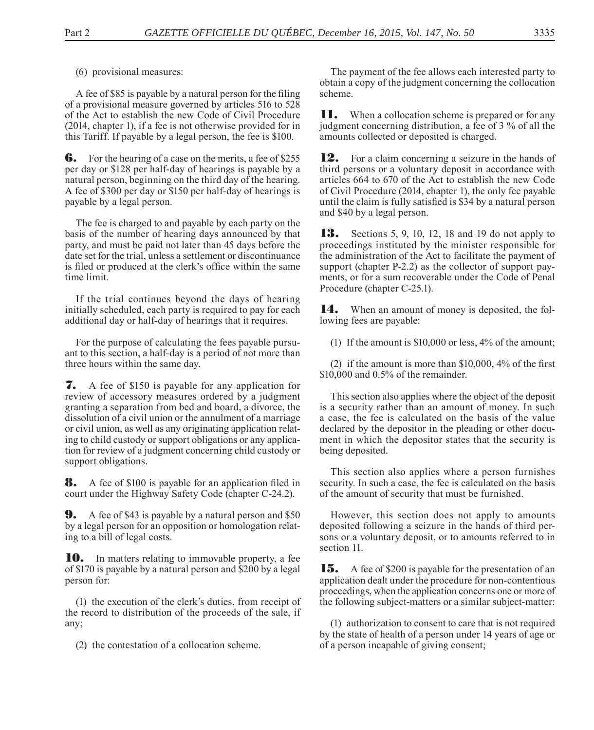(6) provisional measures:

A fee of \$85 is payable by a natural person for the filing of a provisional measure governed by articles 516 to 528 of the Act to establish the new Code of Civil Procedure (2014, chapter 1), if a fee is not otherwise provided for in this Tariff. If payable by a legal person, the fee is \$100.

**6.** For the hearing of a case on the merits, a fee of \$255 per day or \$128 per half-day of hearings is payable by a natural person, beginning on the third day of the hearing. A fee of \$300 per day or \$150 per half-day of hearings is payable by a legal person.

The fee is charged to and payable by each party on the basis of the number of hearing days announced by that party, and must be paid not later than 45 days before the date set for the trial, unless a settlement or discontinuance is filed or produced at the clerk's office within the same time limit.

If the trial continues beyond the days of hearing initially scheduled, each party is required to pay for each additional day or half-day of hearings that it requires.

For the purpose of calculating the fees payable pursuant to this section, a half-day is a period of not more than three hours within the same day.

7. A fee of \$150 is payable for any application for review of accessory measures ordered by a judgment granting a separation from bed and board, a divorce, the dissolution of a civil union or the annulment of a marriage or civil union, as well as any originating application relating to child custody or support obligations or any application for review of a judgment concerning child custody or support obligations.

**8.** A fee of \$100 is payable for an application filed in court under the Highway Safety Code (chapter C-24.2).

**9.** A fee of \$43 is payable by a natural person and \$50 by a legal person for an opposition or homologation relating to a bill of legal costs.

10. In matters relating to immovable property, a fee of \$170 is payable by a natural person and \$200 by a legal person for:

(1) the execution of the clerk's duties, from receipt of the record to distribution of the proceeds of the sale, if any;

(2) the contestation of a collocation scheme.

The payment of the fee allows each interested party to obtain a copy of the judgment concerning the collocation scheme.

**11.** When a collocation scheme is prepared or for any judgment concerning distribution, a fee of  $3\%$  of all the amounts collected or deposited is charged.

12. For a claim concerning a seizure in the hands of third persons or a voluntary deposit in accordance with articles 664 to 670 of the Act to establish the new Code of Civil Procedure (2014, chapter 1), the only fee payable until the claim is fully satisfied is \$34 by a natural person and \$40 by a legal person.

**13.** Sections 5, 9, 10, 12, 18 and 19 do not apply to proceedings instituted by the minister responsible for the administration of the Act to facilitate the payment of support (chapter P-2.2) as the collector of support payments, or for a sum recoverable under the Code of Penal Procedure (chapter C-25.1).

14. When an amount of money is deposited, the following fees are payable:

(1) If the amount is \$10,000 or less, 4% of the amount;

(2) if the amount is more than  $$10,000, 4\%$  of the first \$10,000 and 0.5% of the remainder.

This section also applies where the object of the deposit is a security rather than an amount of money. In such a case, the fee is calculated on the basis of the value declared by the depositor in the pleading or other document in which the depositor states that the security is being deposited.

This section also applies where a person furnishes security. In such a case, the fee is calculated on the basis of the amount of security that must be furnished.

However, this section does not apply to amounts deposited following a seizure in the hands of third persons or a voluntary deposit, or to amounts referred to in section 11.

**15.** A fee of \$200 is payable for the presentation of an application dealt under the procedure for non-contentious proceedings, when the application concerns one or more of the following subject-matters or a similar subject-matter:

(1) authorization to consent to care that is not required by the state of health of a person under 14 years of age or of a person incapable of giving consent;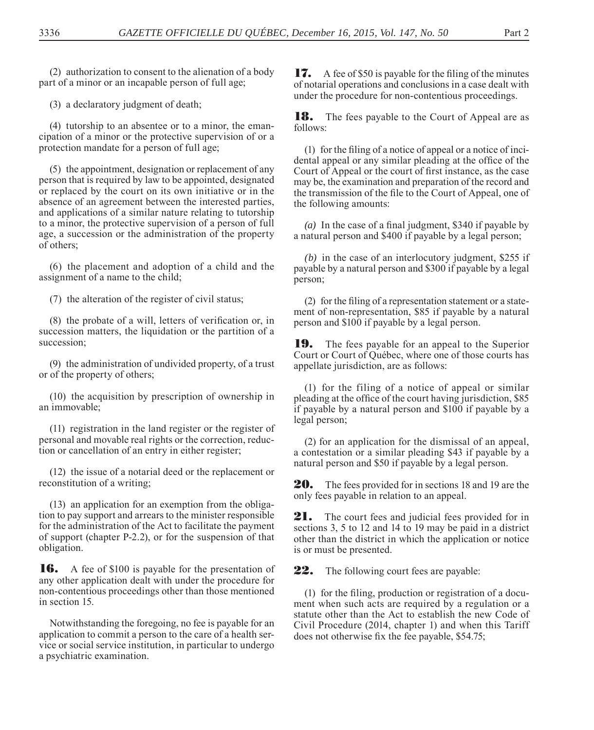(2) authorization to consent to the alienation of a body part of a minor or an incapable person of full age;

(3) a declaratory judgment of death;

(4) tutorship to an absentee or to a minor, the emancipation of a minor or the protective supervision of or a protection mandate for a person of full age;

(5) the appointment, designation or replacement of any person that is required by law to be appointed, designated or replaced by the court on its own initiative or in the absence of an agreement between the interested parties, and applications of a similar nature relating to tutorship to a minor, the protective supervision of a person of full age, a succession or the administration of the property of others;

(6) the placement and adoption of a child and the assignment of a name to the child;

(7) the alteration of the register of civil status;

 $(8)$  the probate of a will, letters of verification or, in succession matters, the liquidation or the partition of a succession;

(9) the administration of undivided property, of a trust or of the property of others;

(10) the acquisition by prescription of ownership in an immovable;

(11) registration in the land register or the register of personal and movable real rights or the correction, reduction or cancellation of an entry in either register;

(12) the issue of a notarial deed or the replacement or reconstitution of a writing;

(13) an application for an exemption from the obligation to pay support and arrears to the minister responsible for the administration of the Act to facilitate the payment of support (chapter P-2.2), or for the suspension of that obligation.

**16.** A fee of \$100 is payable for the presentation of any other application dealt with under the procedure for non-contentious proceedings other than those mentioned in section 15.

Notwithstanding the foregoing, no fee is payable for an application to commit a person to the care of a health service or social service institution, in particular to undergo a psychiatric examination.

17. A fee of \$50 is payable for the filing of the minutes of notarial operations and conclusions in a case dealt with under the procedure for non-contentious proceedings.

**18.** The fees payable to the Court of Appeal are as follows:

 $(1)$  for the filing of a notice of appeal or a notice of incidental appeal or any similar pleading at the office of the Court of Appeal or the court of first instance, as the case may be, the examination and preparation of the record and the transmission of the file to the Court of Appeal, one of the following amounts:

(a) In the case of a final judgment,  $$340$  if payable by a natural person and \$400 if payable by a legal person;

*(b)* in the case of an interlocutory judgment, \$255 if payable by a natural person and \$300 if payable by a legal person;

 $(2)$  for the filing of a representation statement or a statement of non-representation, \$85 if payable by a natural person and \$100 if payable by a legal person.

**19.** The fees payable for an appeal to the Superior Court or Court of Québec, where one of those courts has appellate jurisdiction, are as follows:

(1) for the filing of a notice of appeal or similar pleading at the office of the court having jurisdiction, \$85 if payable by a natural person and \$100 if payable by a legal person;

(2) for an application for the dismissal of an appeal, a contestation or a similar pleading \$43 if payable by a natural person and \$50 if payable by a legal person.

20. The fees provided for in sections 18 and 19 are the only fees payable in relation to an appeal.

**21.** The court fees and judicial fees provided for in sections 3, 5 to 12 and 14 to 19 may be paid in a district other than the district in which the application or notice is or must be presented.

22. The following court fees are payable:

 $(1)$  for the filing, production or registration of a document when such acts are required by a regulation or a statute other than the Act to establish the new Code of Civil Procedure (2014, chapter 1) and when this Tariff does not otherwise fix the fee payable, \$54.75;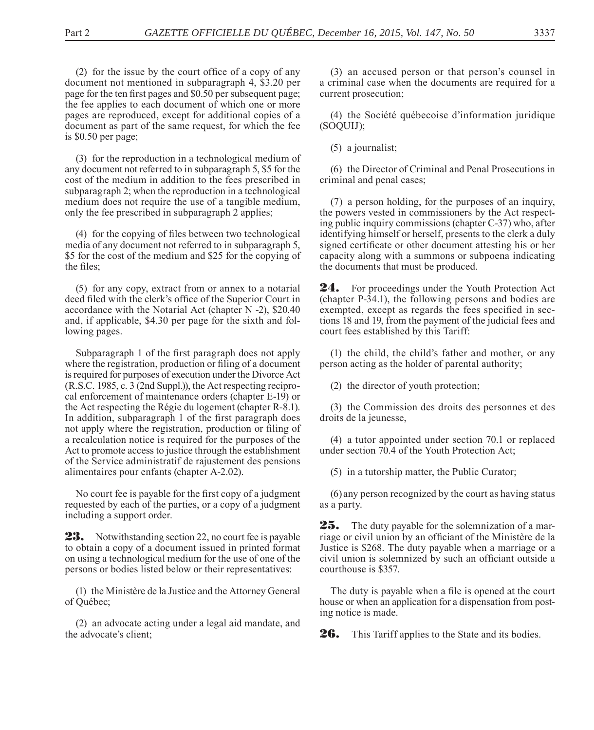$(2)$  for the issue by the court office of a copy of any document not mentioned in subparagraph 4, \$3.20 per page for the ten first pages and \$0.50 per subsequent page; the fee applies to each document of which one or more pages are reproduced, except for additional copies of a document as part of the same request, for which the fee is \$0.50 per page;

(3) for the reproduction in a technological medium of any document not referred to in subparagraph 5, \$5 for the cost of the medium in addition to the fees prescribed in subparagraph 2; when the reproduction in a technological medium does not require the use of a tangible medium, only the fee prescribed in subparagraph 2 applies;

(4) for the copying of files between two technological media of any document not referred to in subparagraph 5, \$5 for the cost of the medium and \$25 for the copying of the files:

(5) for any copy, extract from or annex to a notarial deed filed with the clerk's office of the Superior Court in accordance with the Notarial Act (chapter N -2), \$20.40 and, if applicable, \$4.30 per page for the sixth and following pages.

Subparagraph 1 of the first paragraph does not apply where the registration, production or filing of a document is required for purposes of execution under the Divorce Act (R.S.C. 1985, c. 3 (2nd Suppl.)), the Act respecting reciprocal enforcement of maintenance orders (chapter E-19) or the Act respecting the Régie du logement (chapter R-8.1). In addition, subparagraph 1 of the first paragraph does not apply where the registration, production or filing of a recalculation notice is required for the purposes of the Act to promote access to justice through the establishment of the Service administratif de rajustement des pensions alimentaires pour enfants (chapter A-2.02).

No court fee is payable for the first copy of a judgment requested by each of the parties, or a copy of a judgment including a support order.

23. Notwithstanding section 22, no court fee is payable to obtain a copy of a document issued in printed format on using a technological medium for the use of one of the persons or bodies listed below or their representatives:

(1) the Ministère de la Justice and the Attorney General of Québec;

(2) an advocate acting under a legal aid mandate, and the advocate's client;

(3) an accused person or that person's counsel in a criminal case when the documents are required for a current prosecution;

(4) the Société québecoise d'information juridique (SOQUIJ);

(5) a journalist;

(6) the Director of Criminal and Penal Prosecutions in criminal and penal cases;

(7) a person holding, for the purposes of an inquiry, the powers vested in commissioners by the Act respecting public inquiry commissions (chapter C-37) who, after identifying himself or herself, presents to the clerk a duly signed certificate or other document attesting his or her capacity along with a summons or subpoena indicating the documents that must be produced.

**24.** For proceedings under the Youth Protection Act (chapter P-34.1), the following persons and bodies are exempted, except as regards the fees specified in sections 18 and 19, from the payment of the judicial fees and court fees established by this Tariff:

(1) the child, the child's father and mother, or any person acting as the holder of parental authority;

(2) the director of youth protection;

(3) the Commission des droits des personnes et des droits de la jeunesse,

(4) a tutor appointed under section 70.1 or replaced under section 70.4 of the Youth Protection Act;

(5) in a tutorship matter, the Public Curator;

(6) any person recognized by the court as having status as a party.

**25.** The duty payable for the solemnization of a marriage or civil union by an officiant of the Ministère de la Justice is \$268. The duty payable when a marriage or a civil union is solemnized by such an officiant outside a courthouse is \$357.

The duty is payable when a file is opened at the court house or when an application for a dispensation from posting notice is made.

26. This Tariff applies to the State and its bodies.